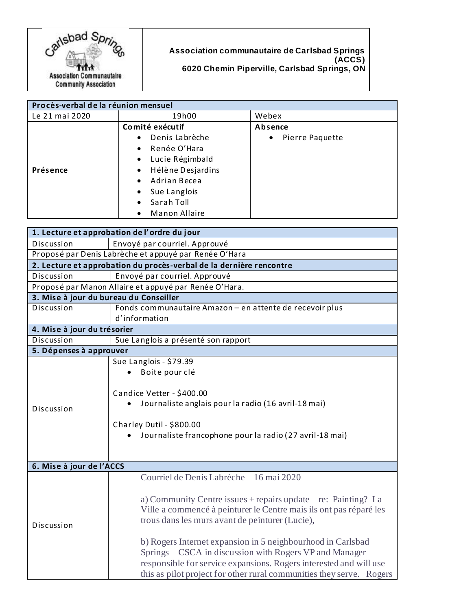

**Association communautaire de Carlsbad Springs (ACCS) 6020 Chemin Piperville, Carlsbad Springs, ON**

| Procès-verbal de la réunion mensuel |                                   |                              |
|-------------------------------------|-----------------------------------|------------------------------|
| Le 21 mai 2020                      | 19h00                             | Webex                        |
|                                     | Comité exécutif                   | Absence                      |
| Présence                            | Denis Labrèche<br>$\bullet$       | Pierre Paquette<br>$\bullet$ |
|                                     | Renée O'Hara<br>$\bullet$         |                              |
|                                     | Lucie Régimbald<br>$\bullet$      |                              |
|                                     | Hélène Desjardins<br>$\bullet$    |                              |
|                                     | Adrian Becea<br>$\bullet$         |                              |
|                                     | Sue Langlois<br>$\bullet$         |                              |
|                                     | Sarah Toll<br>$\bullet$           |                              |
|                                     | <b>Manon Allaire</b><br>$\bullet$ |                              |

| 1. Lecture et approbation de l'ordre du jour                        |                                                                                                                                                                                                                                                                                                                                                                                                                                                                                                                 |  |  |
|---------------------------------------------------------------------|-----------------------------------------------------------------------------------------------------------------------------------------------------------------------------------------------------------------------------------------------------------------------------------------------------------------------------------------------------------------------------------------------------------------------------------------------------------------------------------------------------------------|--|--|
| Discussion                                                          | Envoyé par courriel. Approuvé                                                                                                                                                                                                                                                                                                                                                                                                                                                                                   |  |  |
| Proposé par Denis Labrèche et appuyé par Renée O'Hara               |                                                                                                                                                                                                                                                                                                                                                                                                                                                                                                                 |  |  |
| 2. Lecture et approbation du procès-verbal de la dernière rencontre |                                                                                                                                                                                                                                                                                                                                                                                                                                                                                                                 |  |  |
| Discussion                                                          | Envoyé par courriel. Approuvé                                                                                                                                                                                                                                                                                                                                                                                                                                                                                   |  |  |
| Proposé par Manon Allaire et appuyé par Renée O'Hara.               |                                                                                                                                                                                                                                                                                                                                                                                                                                                                                                                 |  |  |
| 3. Mise à jour du bureau du Conseiller                              |                                                                                                                                                                                                                                                                                                                                                                                                                                                                                                                 |  |  |
| Discussion                                                          | Fonds communautaire Amazon - en attente de recevoir plus<br>d'information                                                                                                                                                                                                                                                                                                                                                                                                                                       |  |  |
| 4. Mise à jour du trésorier                                         |                                                                                                                                                                                                                                                                                                                                                                                                                                                                                                                 |  |  |
| Discussion                                                          | Sue Langlois a présenté son rapport                                                                                                                                                                                                                                                                                                                                                                                                                                                                             |  |  |
| 5. Dépenses à approuver                                             |                                                                                                                                                                                                                                                                                                                                                                                                                                                                                                                 |  |  |
| Discussion                                                          | Sue Langlois - \$79.39<br>Boite pour clé<br>Candice Vetter - \$400.00<br>Journaliste anglais pour la radio (16 avril-18 mai)<br>Charley Dutil - \$800.00<br>Journaliste francophone pour la radio (27 avril-18 mai)                                                                                                                                                                                                                                                                                             |  |  |
| 6. Mise à jour de l'ACCS                                            |                                                                                                                                                                                                                                                                                                                                                                                                                                                                                                                 |  |  |
| Discussion                                                          | Courriel de Denis Labrèche – 16 mai 2020<br>a) Community Centre issues $+$ repairs update $-$ re: Painting? La<br>Ville a commencé à peinturer le Centre mais ils ont pas réparé les<br>trous dans les murs avant de peinturer (Lucie),<br>b) Rogers Internet expansion in 5 neighbourhood in Carlsbad<br>Springs – CSCA in discussion with Rogers VP and Manager<br>responsible for service expansions. Rogers interested and will use<br>this as pilot project for other rural communities they serve. Rogers |  |  |